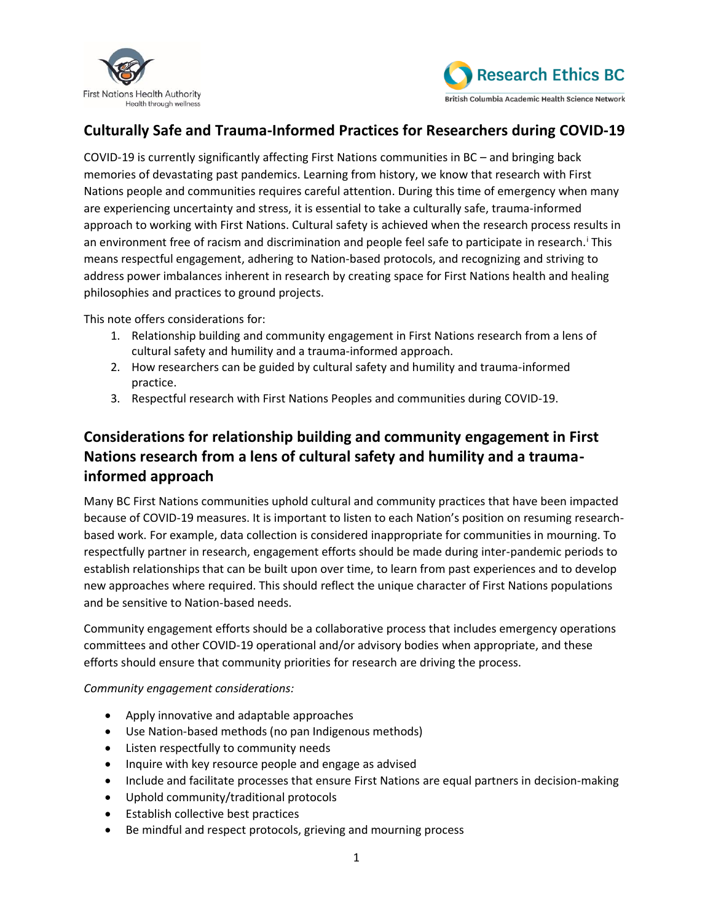



### **Culturally Safe and Trauma-Informed Practices for Researchers during COVID-19**

COVID-19 is currently significantly affecting First Nations communities in BC – and bringing back memories of devastating past pandemics. Learning from history, we know that research with First Nations people and communities requires careful attention. During this time of emergency when many are experiencing uncertainty and stress, it is essential to take a culturally safe, trauma-informed approach to working with First Nations. Cultural safety is achieved when the research process results in an environment free of racism and discrimination and people feel safe to participate in research.<sup>i</sup> This means respectful engagement, adhering to Nation-based protocols, and recognizing and striving to address power imbalances inherent in research by creating space for First Nations health and healing philosophies and practices to ground projects.

This note offers considerations for:

- 1. Relationship building and community engagement in First Nations research from a lens of cultural safety and humility and a trauma-informed approach.
- 2. How researchers can be guided by cultural safety and humility and trauma-informed practice.
- 3. Respectful research with First Nations Peoples and communities during COVID-19.

# **Considerations for relationship building and community engagement in First Nations research from a lens of cultural safety and humility and a traumainformed approach**

Many BC First Nations communities uphold cultural and community practices that have been impacted because of COVID-19 measures. It is important to listen to each Nation's position on resuming researchbased work. For example, data collection is considered inappropriate for communities in mourning. To respectfully partner in research, engagement efforts should be made during inter-pandemic periods to establish relationships that can be built upon over time, to learn from past experiences and to develop new approaches where required. This should reflect the unique character of First Nations populations and be sensitive to Nation-based needs.

Community engagement efforts should be a collaborative process that includes emergency operations committees and other COVID-19 operational and/or advisory bodies when appropriate, and these efforts should ensure that community priorities for research are driving the process.

*Community engagement considerations:*

- Apply innovative and adaptable approaches
- Use Nation-based methods (no pan Indigenous methods)
- Listen respectfully to community needs
- Inquire with key resource people and engage as advised
- Include and facilitate processes that ensure First Nations are equal partners in decision-making
- Uphold community/traditional protocols
- Establish collective best practices
- Be mindful and respect protocols, grieving and mourning process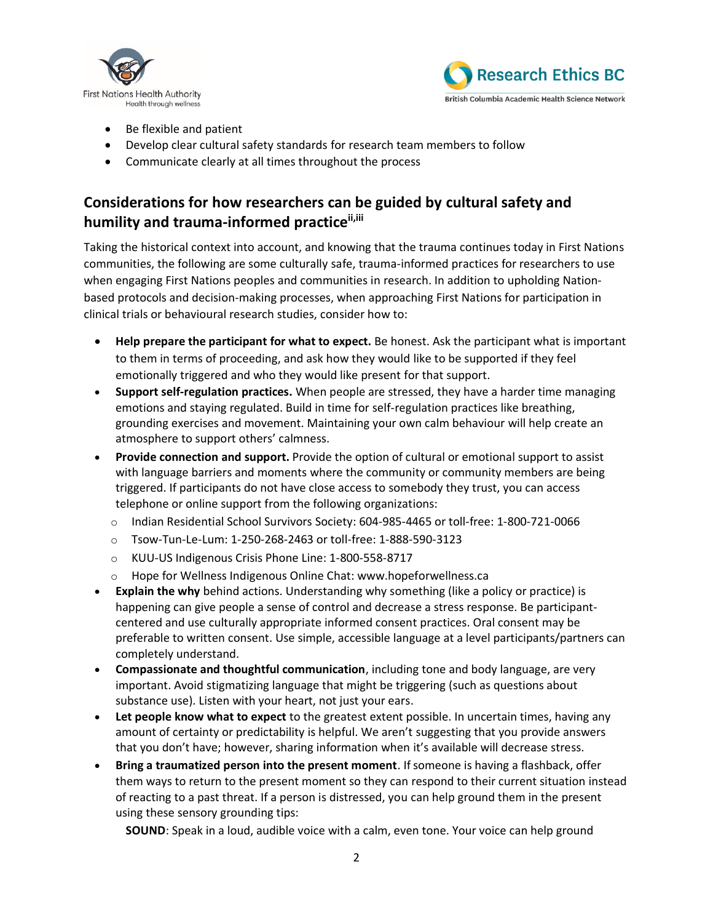



- Be flexible and patient
- Develop clear cultural safety standards for research team members to follow
- Communicate clearly at all times throughout the process

# **Considerations for how researchers can be guided by cultural safety and humility and trauma-informed practiceii,iii**

Taking the historical context into account, and knowing that the trauma continues today in First Nations communities, the following are some culturally safe, trauma-informed practices for researchers to use when engaging First Nations peoples and communities in research. In addition to upholding Nationbased protocols and decision-making processes, when approaching First Nations for participation in clinical trials or behavioural research studies, consider how to:

- **Help prepare the participant for what to expect.** Be honest. Ask the participant what is important to them in terms of proceeding, and ask how they would like to be supported if they feel emotionally triggered and who they would like present for that support.
- **Support self-regulation practices.** When people are stressed, they have a harder time managing emotions and staying regulated. Build in time for self-regulation practices like breathing, grounding exercises and movement. Maintaining your own calm behaviour will help create an atmosphere to support others' calmness.
- **Provide connection and support.** Provide the option of cultural or emotional support to assist with language barriers and moments where the community or community members are being triggered. If participants do not have close access to somebody they trust, you can access telephone or online support from the following organizations:
	- o Indian Residential School Survivors Society: 604-985-4465 or toll-free: 1-800-721-0066
	- o Tsow-Tun-Le-Lum: 1-250-268-2463 or toll-free: 1-888-590-3123
	- o KUU-US Indigenous Crisis Phone Line: 1-800-558-8717
	- o Hope for Wellness Indigenous Online Chat: www.hopeforwellness.ca
- **Explain the why** behind actions. Understanding why something (like a policy or practice) is happening can give people a sense of control and decrease a stress response. Be participantcentered and use culturally appropriate informed consent practices. Oral consent may be preferable to written consent. Use simple, accessible language at a level participants/partners can completely understand.
- **Compassionate and thoughtful communication**, including tone and body language, are very important. Avoid stigmatizing language that might be triggering (such as questions about substance use). Listen with your heart, not just your ears.
- **Let people know what to expect** to the greatest extent possible. In uncertain times, having any amount of certainty or predictability is helpful. We aren't suggesting that you provide answers that you don't have; however, sharing information when it's available will decrease stress.
- **Bring a traumatized person into the present moment**. If someone is having a flashback, offer them ways to return to the present moment so they can respond to their current situation instead of reacting to a past threat. If a person is distressed, you can help ground them in the present using these sensory grounding tips:

**SOUND**: Speak in a loud, audible voice with a calm, even tone. Your voice can help ground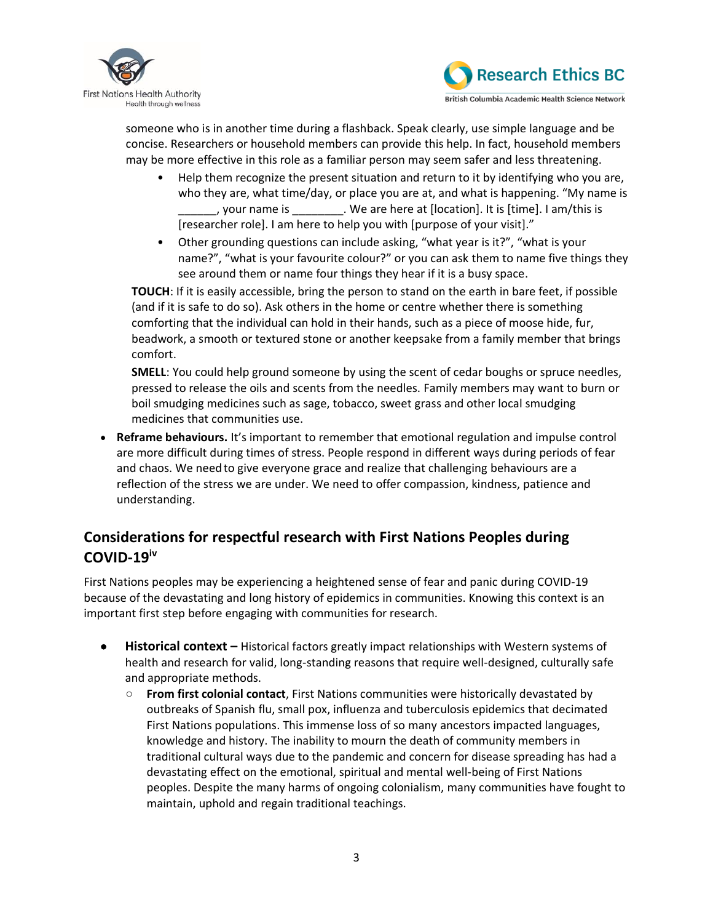



someone who is in another time during a flashback. Speak clearly, use simple language and be concise. Researchers or household members can provide this help. In fact, household members may be more effective in this role as a familiar person may seem safer and less threatening.

- Help them recognize the present situation and return to it by identifying who you are, who they are, what time/day, or place you are at, and what is happening. "My name is \_\_\_\_\_\_, your name is \_\_\_\_\_\_\_\_. We are here at [location]. It is [time]. I am/this is [researcher role]. I am here to help you with [purpose of your visit]."
- Other grounding questions can include asking, "what year is it?", "what is your name?", "what is your favourite colour?" or you can ask them to name five things they see around them or name four things they hear if it is a busy space.

**TOUCH**: If it is easily accessible, bring the person to stand on the earth in bare feet, if possible (and if it is safe to do so). Ask others in the home or centre whether there is something comforting that the individual can hold in their hands, such as a piece of moose hide, fur, beadwork, a smooth or textured stone or another keepsake from a family member that brings comfort.

**SMELL**: You could help ground someone by using the scent of cedar boughs or spruce needles, pressed to release the oils and scents from the needles. Family members may want to burn or boil smudging medicines such as sage, tobacco, sweet grass and other local smudging medicines that communities use.

• **Reframe behaviours.** It's important to remember that emotional regulation and impulse control are more difficult during times of stress. People respond in different ways during periods of fear and chaos. We needto give everyone grace and realize that challenging behaviours are a reflection of the stress we are under. We need to offer compassion, kindness, patience and understanding.

## **Considerations for respectful research with First Nations Peoples during COVID-19iv**

First Nations peoples may be experiencing a heightened sense of fear and panic during COVID-19 because of the devastating and long history of epidemics in communities. Knowing this context is an important first step before engaging with communities for research.

- **Historical context –** Historical factors greatly impact relationships with Western systems of health and research for valid, long-standing reasons that require well-designed, culturally safe and appropriate methods.
	- o **From first colonial contact**, First Nations communities were historically devastated by outbreaks of Spanish flu, small pox, influenza and tuberculosis epidemics that decimated First Nations populations. This immense loss of so many ancestors impacted languages, knowledge and history. The inability to mourn the death of community members in traditional cultural ways due to the pandemic and concern for disease spreading has had a devastating effect on the emotional, spiritual and mental well-being of First Nations peoples. Despite the many harms of ongoing colonialism, many communities have fought to maintain, uphold and regain traditional teachings.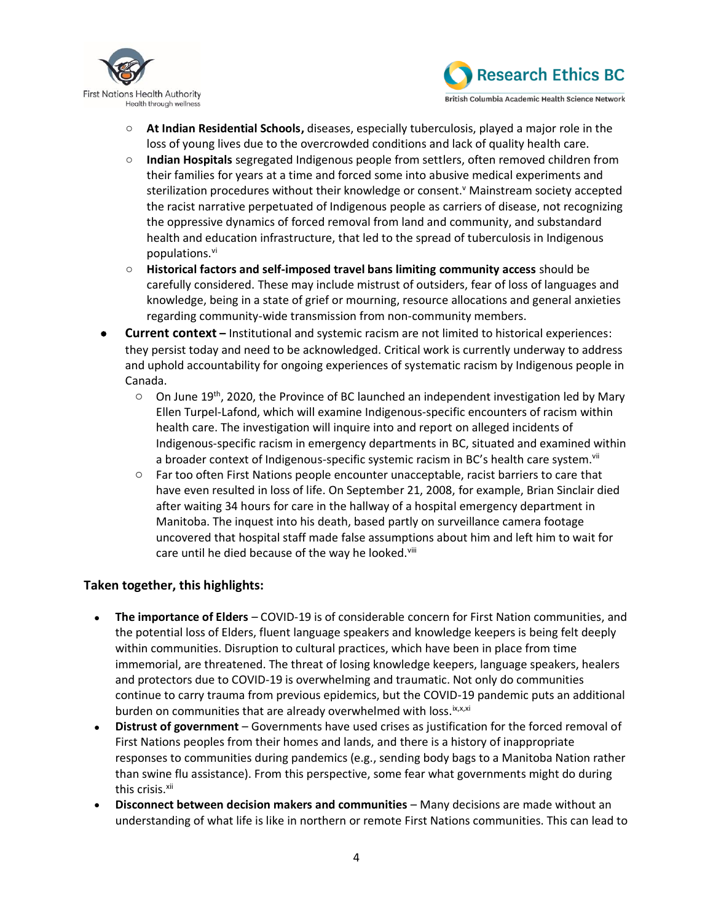



- o **At Indian Residential Schools,** diseases, especially tuberculosis, played a major role in the loss of young lives due to the overcrowded conditions and lack of quality health care.
- o **Indian Hospitals** segregated Indigenous people from settlers, often removed children from their families for years at a time and forced some into abusive medical experiments and sterilization procedures without their knowledge or consent.<sup>v</sup> Mainstream society accepted the racist narrative perpetuated of Indigenous people as carriers of disease, not recognizing the oppressive dynamics of forced removal from land and community, and substandard health and education infrastructure, that led to the spread of tuberculosis in Indigenous populations. vi
- o **Historical factors and self-imposed travel bans limiting community access** should be carefully considered. These may include mistrust of outsiders, fear of loss of languages and knowledge, being in a state of grief or mourning, resource allocations and general anxieties regarding community-wide transmission from non-community members.
- **Current context –** Institutional and systemic racism are not limited to historical experiences: they persist today and need to be acknowledged. Critical work is currently underway to address and uphold accountability for ongoing experiences of systematic racism by Indigenous people in Canada.
	- $\circ$  On June 19<sup>th</sup>, 2020, the Province of BC launched an independent investigation led by Mary Ellen Turpel-Lafond, which will examine Indigenous-specific encounters of racism within health care. The investigation will inquire into and report on alleged incidents of Indigenous-specific racism in emergency departments in BC, situated and examined within a broader context of Indigenous-specific systemic racism in BC's health care system.<sup>vii</sup>
	- o Far too often First Nations people encounter unacceptable, racist barriers to care that have even resulted in loss of life. On September 21, 2008, for example, Brian Sinclair died after waiting 34 hours for care in the hallway of a hospital emergency department in Manitoba. The inquest into his death, based partly on surveillance camera footage uncovered that hospital staff made false assumptions about him and left him to wait for care until he died because of the way he looked.<sup>viii</sup>

#### **Taken together, this highlights:**

- **The importance of Elders**  COVID-19 is of considerable concern for First Nation communities, and the potential loss of Elders, fluent language speakers and knowledge keepers is being felt deeply within communities. Disruption to cultural practices, which have been in place from time immemorial, are threatened. The threat of losing knowledge keepers, language speakers, healers and protectors due to COVID-19 is overwhelming and traumatic. Not only do communities continue to carry trauma from previous epidemics, but the COVID-19 pandemic puts an additional burden on communities that are already overwhelmed with loss.<sup>ix,x,xi</sup>
- **Distrust of government** Governments have used crises as justification for the forced removal of First Nations peoples from their homes and lands, and there is a history of inappropriate responses to communities during pandemics (e.g., sending body bags to a Manitoba Nation rather than swine flu assistance). From this perspective, some fear what governments might do during this crisis.<sup>xii</sup>
- **Disconnect between decision makers and communities**  Many decisions are made without an understanding of what life is like in northern or remote First Nations communities. This can lead to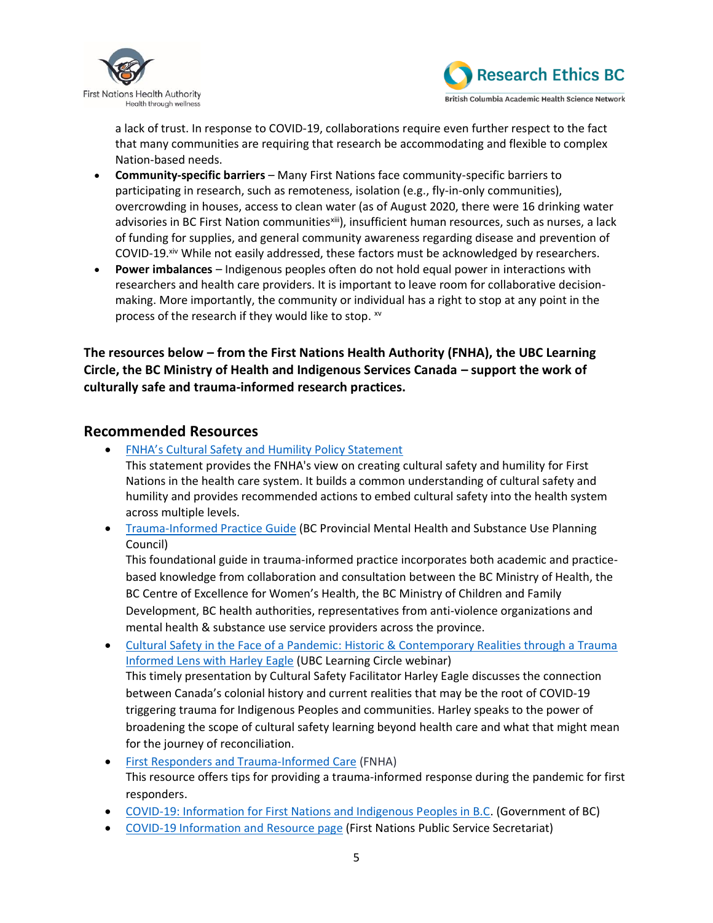



a lack of trust. In response to COVID-19, collaborations require even further respect to the fact that many communities are requiring that research be accommodating and flexible to complex Nation-based needs.

- **Community-specific barriers**  Many First Nations face community-specific barriers to participating in research, such as remoteness, isolation (e.g., fly-in-only communities), overcrowding in houses, access to clean water (as of August 2020, there were 16 drinking water advisories in BC First Nation communities<sup>xiii</sup>), insufficient human resources, such as nurses, a lack of funding for supplies, and general community awareness regarding disease and prevention of COVID-19. $xiv$  While not easily addressed, these factors must be acknowledged by researchers.
- **Power imbalances** Indigenous peoples often do not hold equal power in interactions with researchers and health care providers. It is important to leave room for collaborative decisionmaking. More importantly, the community or individual has a right to stop at any point in the process of the research if they would like to stop.  $^{xy}$

**The resources below – from the First Nations Health Authority (FNHA), the UBC Learning Circle, the BC Ministry of Health and Indigenous Services Canada – support the work of culturally safe and trauma-informed research practices.** 

#### **Recommended Resources**

- FNHA's [Cultural Safety and Humility Policy Statement](https://www.fnha.ca/Documents/FNHA-Policy-Statement-Cultural-Safety-and-Humility.pdf) This statement provides the FNHA's view on creating cultural safety and humility for First Nations in the health care system. It builds a common understanding of cultural safety and humility and provides recommended actions to embed cultural safety into the health system across multiple levels.
- [Trauma-Informed Practice Guide](http://bccewh.bc.ca/2014/02/trauma-informed-practice-guide/) (BC Provincial Mental Health and Substance Use Planning Council)

This foundational guide in trauma-informed practice incorporates both academic and practicebased knowledge from collaboration and consultation between the BC Ministry of Health, the BC Centre of Excellence for Women's Health, the BC Ministry of Children and Family Development, BC health authorities, representatives from anti-violence organizations and mental health & substance use service providers across the province.

- [Cultural Safety in the Face of a Pandemic: Historic & Contemporary Realities through a Trauma](https://www.youtube.com/watch?v=F-nyt7k30CQ)  [Informed Lens with Harley Eagle](https://www.youtube.com/watch?v=F-nyt7k30CQ) (UBC Learning Circle webinar) This timely presentation by Cultural Safety Facilitator Harley Eagle discusses the connection between Canada's colonial history and current realities that may be the root of COVID-19 triggering trauma for Indigenous Peoples and communities. Harley speaks to the power of broadening the scope of cultural safety learning beyond health care and what that might mean for the journey of reconciliation.
- [First Responders and Trauma-Informed Care](https://www.fnha.ca/Documents/FNHA-First-Responders-and-Trauma-Informed-Care.pdf) (FNHA) This resource offers tips for providing a trauma-informed response during the pandemic for first responders.
- [COVID-19: Information for First Nations and Indigenous Peoples in B.C.](https://www2.gov.bc.ca/gov/content/governments/indigenous-people/covid19) (Government of BC)
- [COVID-19 Information and Resource page](https://fnps.ca/covid-19) (First Nations Public Service Secretariat)